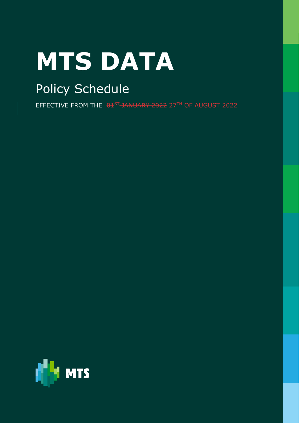# **MTS DATA**

## Policy Schedule

EFFECTIVE FROM THE 01<sup>ST</sup> JANUARY 2022 27TH OF AUGUST 2022

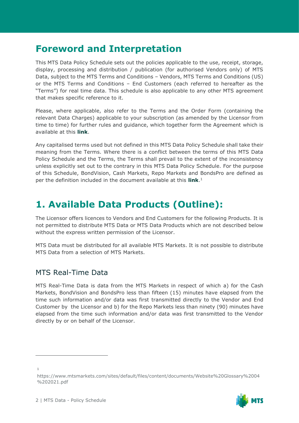## **Foreword and Interpretation**

This MTS Data Policy Schedule sets out the policies applicable to the use, receipt, storage, display, processing and distribution / publication (for authorised Vendors only) of MTS Data, subject to the MTS Terms and Conditions – Vendors, MTS Terms and Conditions (US) or the MTS Terms and Conditions – End Customers (each referred to hereafter as the "Terms") for real time data. This schedule is also applicable to any other MTS agreement that makes specific reference to it.

Please, where applicable, also refer to the Terms and the Order Form (containing the relevant Data Charges) applicable to your subscription (as amended by the Licensor from time to time) for further rules and guidance, which together form the Agreement which is available at this **[link](https://www.mtsmarkets.com/resources/market-data)**.

Any capitalised terms used but not defined in this MTS Data Policy Schedule shall take their meaning from the Terms. Where there is a conflict between the terms of this MTS Data Policy Schedule and the Terms, the Terms shall prevail to the extent of the inconsistency unless explicitly set out to the contrary in this MTS Data Policy Schedule. For the purpose of this Schedule, BondVision, Cash Markets, Repo Markets and BondsPro are defined as per the definition included in the document available at this **[link](https://www.mtsmarkets.com/sites/default/files/content/mts/Documents/Legal_docs/Disclaimer%20capitalised%20terms%20definitions%2001042016.pdf)**. 1

## **1. Available Data Products (Outline):**

The Licensor offers licences to Vendors and End Customers for the following Products. It is not permitted to distribute MTS Data or MTS Data Products which are not described below without the express written permission of the Licensor.

MTS Data must be distributed for all available MTS Markets. It is not possible to distribute MTS Data from a selection of MTS Markets.

#### MTS Real-Time Data

MTS Real-Time Data is data from the MTS Markets in respect of which a) for the Cash Markets, BondVision and BondsPro less than fifteen (15) minutes have elapsed from the time such information and/or data was first transmitted directly to the Vendor and End Customer by the Licensor and b) for the Repo Markets less than ninety (90) minutes have elapsed from the time such information and/or data was first transmitted to the Vendor directly by or on behalf of the Licensor.

https://www.mtsmarkets.com/sites/default/files/content/documents/Website%20Glossary%2004 %202021.pdf



<sup>1</sup>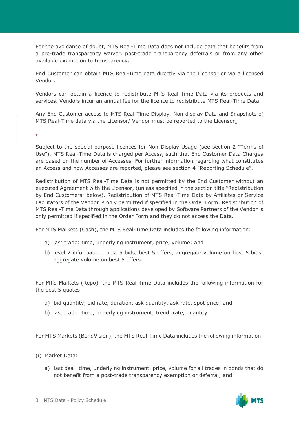For the avoidance of doubt, MTS Real-Time Data does not include data that benefits from a pre-trade transparency waiver, post-trade transparency deferrals or from any other available exemption to transparency.

End Customer can obtain MTS Real-Time data directly via the Licensor or via a licensed Vendor.

Vendors can obtain a licence to redistribute MTS Real-Time Data via its products and services. Vendors incur an annual fee for the licence to redistribute MTS Real-Time Data.

Any End Customer access to MTS Real-Time Display, Non display Data and Snapshots of MTS Real-Time data via the Licensor/ Vendor must be reported to the Licensor.

.

Subject to the special purpose licences for Non-Display Usage (see section 2 "Terms of Use"), MTS Real-Time Data is charged per Access, such that End Customer Data Charges are based on the number of Accesses. For further information regarding what constitutes an Access and how Accesses are reported, please see section 4 "Reporting Schedule".

Redistribution of MTS Real-Time Data is not permitted by the End Customer without an executed Agreement with the Licensor, (unless specified in the section title "Redistribution by End Customers" below). Redistribution of MTS Real-Time Data by Affiliates or Service Facilitators of the Vendor is only permitted if specified in the Order Form. Redistribution of MTS Real-Time Data through applications developed by Software Partners of the Vendor is only permitted if specified in the Order Form and they do not access the Data.

For MTS Markets (Cash), the MTS Real-Time Data includes the following information:

- a) last trade: time, underlying instrument, price, volume; and
- b) level 2 information: best 5 bids, best 5 offers, aggregate volume on best 5 bids, aggregate volume on best 5 offers.

For MTS Markets (Repo), the MTS Real-Time Data includes the following information for the best 5 quotes:

- a) bid quantity, bid rate, duration, ask quantity, ask rate, spot price; and
- b) last trade: time, underlying instrument, trend, rate, quantity.

For MTS Markets (BondVision), the MTS Real-Time Data includes the following information:

- (i) Market Data:
	- a) last deal: time, underlying instrument, price, volume for all trades in bonds that do not benefit from a post-trade transparency exemption or deferral; and

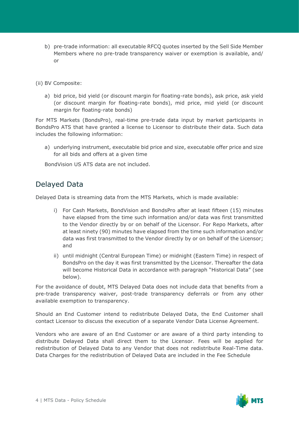b) pre-trade information: all executable RFCQ quotes inserted by the Sell Side Member Members where no pre-trade transparency waiver or exemption is available, and/ or

(ii) BV Composite:

a) bid price, bid yield (or discount margin for floating-rate bonds), ask price, ask yield (or discount margin for floating-rate bonds), mid price, mid yield (or discount margin for floating-rate bonds)

For MTS Markets (BondsPro), real-time pre-trade data input by market participants in BondsPro ATS that have granted a license to Licensor to distribute their data. Such data includes the following information:

a) underlying instrument, executable bid price and size, executable offer price and size for all bids and offers at a given time

BondVision US ATS data are not included.

#### Delayed Data

Delayed Data is streaming data from the MTS Markets, which is made available:

- i) For Cash Markets, BondVision and BondsPro after at least fifteen (15) minutes have elapsed from the time such information and/or data was first transmitted to the Vendor directly by or on behalf of the Licensor. For Repo Markets, after at least ninety (90) minutes have elapsed from the time such information and/or data was first transmitted to the Vendor directly by or on behalf of the Licensor; and
- ii) until midnight (Central European Time) or midnight (Eastern Time) in respect of BondsPro on the day it was first transmitted by the Licensor. Thereafter the data will become Historical Data in accordance with paragraph "Historical Data" (see below).

For the avoidance of doubt, MTS Delayed Data does not include data that benefits from a pre-trade transparency waiver, post-trade transparency deferrals or from any other available exemption to transparency.

Should an End Customer intend to redistribute Delayed Data, the End Customer shall contact Licensor to discuss the execution of a separate Vendor Data License Agreement.

Vendors who are aware of an End Customer or are aware of a third party intending to distribute Delayed Data shall direct them to the Licensor. Fees will be applied for redistribution of Delayed Data to any Vendor that does not redistribute Real-Time data. Data Charges for the redistribution of Delayed Data are included in the Fee Schedule

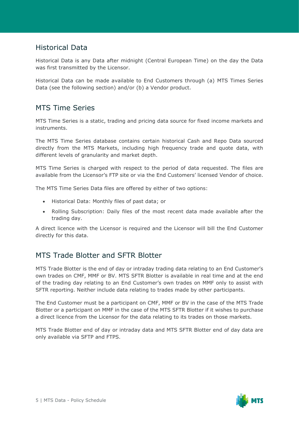#### Historical Data

Historical Data is any Data after midnight (Central European Time) on the day the Data was first transmitted by the Licensor.

Historical Data can be made available to End Customers through (a) MTS Times Series Data (see the following section) and/or (b) a Vendor product.

#### MTS Time Series

MTS Time Series is a static, trading and pricing data source for fixed income markets and instruments.

The MTS Time Series database contains certain historical Cash and Repo Data sourced directly from the MTS Markets, including high frequency trade and quote data, with different levels of granularity and market depth.

MTS Time Series is charged with respect to the period of data requested. The files are available from the Licensor's FTP site or via the End Customers' licensed Vendor of choice.

The MTS Time Series Data files are offered by either of two options:

- Historical Data: Monthly files of past data; or
- Rolling Subscription: Daily files of the most recent data made available after the trading day.

A direct licence with the Licensor is required and the Licensor will bill the End Customer directly for this data.

#### MTS Trade Blotter and SFTR Blotter

MTS Trade Blotter is the end of day or intraday trading data relating to an End Customer's own trades on CMF, MMF or BV. MTS SFTR Blotter is available in real time and at the end of the trading day relating to an End Customer's own trades on MMF only to assist with SFTR reporting. Neither include data relating to trades made by other participants.

The End Customer must be a participant on CMF, MMF or BV in the case of the MTS Trade Blotter or a participant on MMF in the case of the MTS SFTR Blotter if it wishes to purchase a direct licence from the Licensor for the data relating to its trades on those markets.

MTS Trade Blotter end of day or intraday data and MTS SFTR Blotter end of day data are only available via SFTP and FTPS.

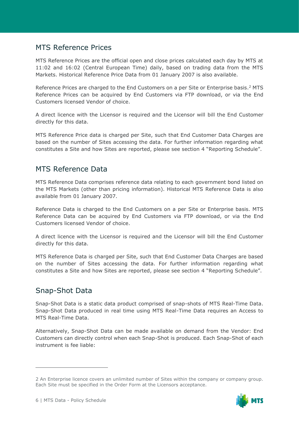#### MTS Reference Prices

MTS Reference Prices are the official open and close prices calculated each day by MTS at 11:02 and 16:02 (Central European Time) daily, based on trading data from the MTS Markets. Historical Reference Price Data from 01 January 2007 is also available.

Reference Prices are charged to the End Customers on a per Site or Enterprise basis.<sup>2</sup> MTS Reference Prices can be acquired by End Customers via FTP download, or via the End Customers licensed Vendor of choice.

A direct licence with the Licensor is required and the Licensor will bill the End Customer directly for this data.

MTS Reference Price data is charged per Site, such that End Customer Data Charges are based on the number of Sites accessing the data. For further information regarding what constitutes a Site and how Sites are reported, please see section 4 "Reporting Schedule".

#### MTS Reference Data

MTS Reference Data comprises reference data relating to each government bond listed on the MTS Markets (other than pricing information). Historical MTS Reference Data is also available from 01 January 2007.

Reference Data is charged to the End Customers on a per Site or Enterprise basis. MTS Reference Data can be acquired by End Customers via FTP download, or via the End Customers licensed Vendor of choice.

A direct licence with the Licensor is required and the Licensor will bill the End Customer directly for this data.

MTS Reference Data is charged per Site, such that End Customer Data Charges are based on the number of Sites accessing the data. For further information regarding what constitutes a Site and how Sites are reported, please see section 4 "Reporting Schedule".

#### Snap-Shot Data

Snap-Shot Data is a static data product comprised of snap-shots of MTS Real-Time Data. Snap-Shot Data produced in real time using MTS Real-Time Data requires an Access to MTS Real-Time Data.

Alternatively, Snap-Shot Data can be made available on demand from the Vendor: End Customers can directly control when each Snap-Shot is produced. Each Snap-Shot of each instrument is fee liable:

<sup>2</sup> An Enterprise licence covers an unlimited number of Sites within the company or company group. Each Site must be specified in the Order Form at the Licensors acceptance.

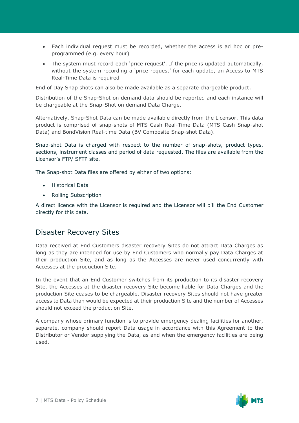- Each individual request must be recorded, whether the access is ad hoc or preprogrammed (e.g. every hour)
- The system must record each 'price request'. If the price is updated automatically, without the system recording a 'price request' for each update, an Access to MTS Real-Time Data is required

End of Day Snap shots can also be made available as a separate chargeable product.

Distribution of the Snap-Shot on demand data should be reported and each instance will be chargeable at the Snap-Shot on demand Data Charge.

Alternatively, Snap-Shot Data can be made available directly from the Licensor. This data product is comprised of snap-shots of MTS Cash Real-Time Data (MTS Cash Snap-shot Data) and BondVision Real-time Data (BV Composite Snap-shot Data).

Snap-shot Data is charged with respect to the number of snap-shots, product types, sections, instrument classes and period of data requested. The files are available from the Licensor's FTP/ SFTP site.

The Snap-shot Data files are offered by either of two options:

- Historical Data
- Rolling Subscription

A direct licence with the Licensor is required and the Licensor will bill the End Customer directly for this data.

#### Disaster Recovery Sites

Data received at End Customers disaster recovery Sites do not attract Data Charges as long as they are intended for use by End Customers who normally pay Data Charges at their production Site, and as long as the Accesses are never used concurrently with Accesses at the production Site.

In the event that an End Customer switches from its production to its disaster recovery Site, the Accesses at the disaster recovery Site become liable for Data Charges and the production Site ceases to be chargeable. Disaster recovery Sites should not have greater access to Data than would be expected at their production Site and the number of Accesses should not exceed the production Site.

A company whose primary function is to provide emergency dealing facilities for another, separate, company should report Data usage in accordance with this Agreement to the Distributor or Vendor supplying the Data, as and when the emergency facilities are being used.

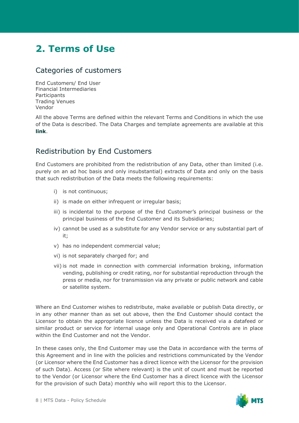## **2. Terms of Use**

#### Categories of customers

End Customers/ End User Financial Intermediaries **Participants** Trading Venues Vendor

All the above Terms are defined within the relevant Terms and Conditions in which the use of the Data is described. The Data Charges and template agreements are available at this **[link](https://www.mtsmarkets.com/resources/market-data)**.

#### Redistribution by End Customers

End Customers are prohibited from the redistribution of any Data, other than limited (i.e. purely on an ad hoc basis and only insubstantial) extracts of Data and only on the basis that such redistribution of the Data meets the following requirements:

- i) is not continuous;
- ii) is made on either infrequent or irregular basis;
- iii) is incidental to the purpose of the End Customer's principal business or the principal business of the End Customer and its Subsidiaries;
- iv) cannot be used as a substitute for any Vendor service or any substantial part of it;
- v) has no independent commercial value;
- vi) is not separately charged for; and
- vii) is not made in connection with commercial information broking, information vending, publishing or credit rating, nor for substantial reproduction through the press or media, nor for transmission via any private or public network and cable or satellite system.

Where an End Customer wishes to redistribute, make available or publish Data directly, or in any other manner than as set out above, then the End Customer should contact the Licensor to obtain the appropriate licence unless the Data is received via a datafeed or similar product or service for internal usage only and Operational Controls are in place within the End Customer and not the Vendor.

In these cases only, the End Customer may use the Data in accordance with the terms of this Agreement and in line with the policies and restrictions communicated by the Vendor (or Licensor where the End Customer has a direct licence with the Licensor for the provision of such Data). Access (or Site where relevant) is the unit of count and must be reported to the Vendor (or Licensor where the End Customer has a direct licence with the Licensor for the provision of such Data) monthly who will report this to the Licensor.

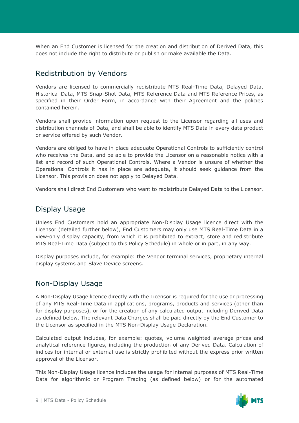When an End Customer is licensed for the creation and distribution of Derived Data, this does not include the right to distribute or publish or make available the Data.

#### Redistribution by Vendors

Vendors are licensed to commercially redistribute MTS Real-Time Data, Delayed Data, Historical Data, MTS Snap-Shot Data, MTS Reference Data and MTS Reference Prices, as specified in their Order Form, in accordance with their Agreement and the policies contained herein.

Vendors shall provide information upon request to the Licensor regarding all uses and distribution channels of Data, and shall be able to identify MTS Data in every data product or service offered by such Vendor.

Vendors are obliged to have in place adequate Operational Controls to sufficiently control who receives the Data, and be able to provide the Licensor on a reasonable notice with a list and record of such Operational Controls. Where a Vendor is unsure of whether the Operational Controls it has in place are adequate, it should seek guidance from the Licensor. This provision does not apply to Delayed Data.

Vendors shall direct End Customers who want to redistribute Delayed Data to the Licensor.

#### Display Usage

Unless End Customers hold an appropriate Non-Display Usage licence direct with the Licensor (detailed further below), End Customers may only use MTS Real-Time Data in a view-only display capacity, from which it is prohibited to extract, store and redistribute MTS Real-Time Data (subject to this Policy Schedule) in whole or in part, in any way.

Display purposes include, for example: the Vendor terminal services, proprietary internal display systems and Slave Device screens.

#### Non-Display Usage

A Non-Display Usage licence directly with the Licensor is required for the use or processing of any MTS Real-Time Data in applications, programs, products and services (other than for display purposes), or for the creation of any calculated output including Derived Data as defined below. The relevant Data Charges shall be paid directly by the End Customer to the Licensor as specified in the MTS Non-Display Usage Declaration.

Calculated output includes, for example: quotes, volume weighted average prices and analytical reference figures, including the production of any Derived Data. Calculation of indices for internal or external use is strictly prohibited without the express prior written approval of the Licensor.

This Non-Display Usage licence includes the usage for internal purposes of MTS Real-Time Data for algorithmic or Program Trading (as defined below) or for the automated

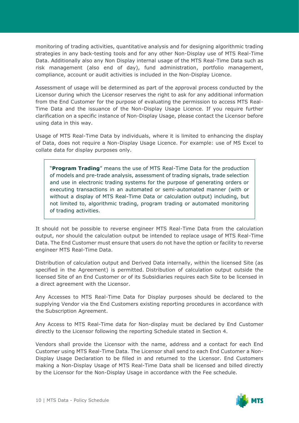monitoring of trading activities, quantitative analysis and for designing algorithmic trading strategies in any back-testing tools and for any other Non-Display use of MTS Real-Time Data. Additionally also any Non Display internal usage of the MTS Real-Time Data such as risk management (also end of day), fund administration, portfolio management, compliance, account or audit activities is included in the Non-Display Licence.

Assessment of usage will be determined as part of the approval process conducted by the Licensor during which the Licensor reserves the right to ask for any additional information from the End Customer for the purpose of evaluating the permission to access MTS Real-Time Data and the issuance of the Non-Display Usage Licence. If you require further clarification on a specific instance of Non-Display Usage, please contact the Licensor before using data in this way.

Usage of MTS Real-Time Data by individuals, where it is limited to enhancing the display of Data, does not require a Non-Display Usage Licence. For example: use of MS Excel to collate data for display purposes only.

"**Program Trading**" means the use of MTS Real-Time Data for the production of models and pre-trade analysis, assessment of trading signals, trade selection and use in electronic trading systems for the purpose of generating orders or executing transactions in an automated or semi-automated manner (with or without a display of MTS Real-Time Data or calculation output) including, but not limited to, algorithmic trading, program trading or automated monitoring of trading activities.

It should not be possible to reverse engineer MTS Real-Time Data from the calculation output, nor should the calculation output be intended to replace usage of MTS Real-Time Data. The End Customer must ensure that users do not have the option or facility to reverse engineer MTS Real-Time Data.

Distribution of calculation output and Derived Data internally, within the licensed Site (as specified in the Agreement) is permitted. Distribution of calculation output outside the licensed Site of an End Customer or of its Subsidiaries requires each Site to be licensed in a direct agreement with the Licensor.

Any Accesses to MTS Real-Time Data for Display purposes should be declared to the supplying Vendor via the End Customers existing reporting procedures in accordance with the Subscription Agreement.

Any Access to MTS Real-Time data for Non-display must be declared by End Customer directly to the Licensor following the reporting Schedule stated in Section 4.

Vendors shall provide the Licensor with the name, address and a contact for each End Customer using MTS Real-Time Data. The Licensor shall send to each End Customer a Non-Display Usage Declaration to be filled in and returned to the Licensor. End Customers making a Non-Display Usage of MTS Real-Time Data shall be licensed and billed directly by the Licensor for the Non-Display Usage in accordance with the Fee schedule.

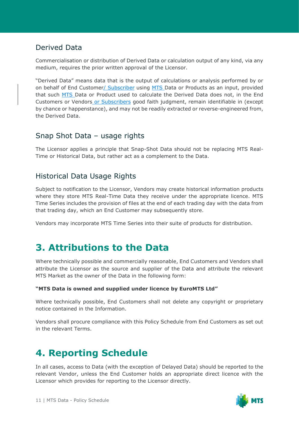#### Derived Data

Commercialisation or distribution of Derived Data or calculation output of any kind, via any medium, requires the prior written approval of the Licensor.

"Derived Data" means data that is the output of calculations or analysis performed by or on behalf of End Customer/ Subscriber using MTS Data or Products as an input, provided that such MTS Data or Product used to calculate the Derived Data does not, in the End Customers or Vendors or Subscribers good faith judgment, remain identifiable in (except by chance or happenstance), and may not be readily extracted or reverse-engineered from, the Derived Data.

#### Snap Shot Data – usage rights

The Licensor applies a principle that Snap-Shot Data should not be replacing MTS Real-Time or Historical Data, but rather act as a complement to the Data.

#### Historical Data Usage Rights

Subject to notification to the Licensor, Vendors may create historical information products where they store MTS Real-Time Data they receive under the appropriate licence. MTS Time Series includes the provision of files at the end of each trading day with the data from that trading day, which an End Customer may subsequently store.

Vendors may incorporate MTS Time Series into their suite of products for distribution.

## **3. Attributions to the Data**

Where technically possible and commercially reasonable, End Customers and Vendors shall attribute the Licensor as the source and supplier of the Data and attribute the relevant MTS Market as the owner of the Data in the following form:

#### **"MTS Data is owned and supplied under licence by EuroMTS Ltd"**

Where technically possible, End Customers shall not delete any copyright or proprietary notice contained in the Information.

Vendors shall procure compliance with this Policy Schedule from End Customers as set out in the relevant Terms.

## **4. Reporting Schedule**

In all cases, access to Data (with the exception of Delayed Data) should be reported to the relevant Vendor, unless the End Customer holds an appropriate direct licence with the Licensor which provides for reporting to the Licensor directly.

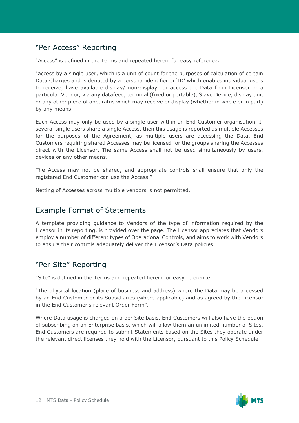#### "Per Access" Reporting

"Access" is defined in the Terms and repeated herein for easy reference:

"access by a single user, which is a unit of count for the purposes of calculation of certain Data Charges and is denoted by a personal identifier or 'ID' which enables individual users to receive, have available display/ non-display or access the Data from Licensor or a particular Vendor, via any datafeed, terminal (fixed or portable), Slave Device, display unit or any other piece of apparatus which may receive or display (whether in whole or in part) by any means.

Each Access may only be used by a single user within an End Customer organisation. If several single users share a single Access, then this usage is reported as multiple Accesses for the purposes of the Agreement, as multiple users are accessing the Data. End Customers requiring shared Accesses may be licensed for the groups sharing the Accesses direct with the Licensor. The same Access shall not be used simultaneously by users, devices or any other means.

The Access may not be shared, and appropriate controls shall ensure that only the registered End Customer can use the Access."

Netting of Accesses across multiple vendors is not permitted.

#### Example Format of Statements

A template providing guidance to Vendors of the type of information required by the Licensor in its reporting, is provided over the page. The Licensor appreciates that Vendors employ a number of different types of Operational Controls, and aims to work with Vendors to ensure their controls adequately deliver the Licensor's Data policies.

#### "Per Site" Reporting

"Site" is defined in the Terms and repeated herein for easy reference:

"The physical location (place of business and address) where the Data may be accessed by an End Customer or its Subsidiaries (where applicable) and as agreed by the Licensor in the End Customer's relevant Order Form".

Where Data usage is charged on a per Site basis, End Customers will also have the option of subscribing on an Enterprise basis, which will allow them an unlimited number of Sites. End Customers are required to submit Statements based on the Sites they operate under the relevant direct licenses they hold with the Licensor, pursuant to this Policy Schedule

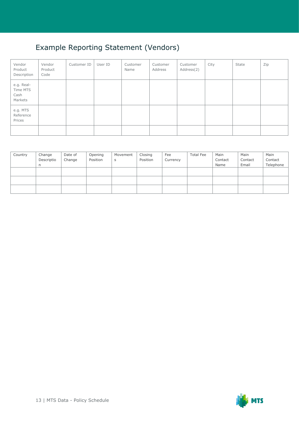### Example Reporting Statement (Vendors)

| Vendor<br>Product<br>Description          | Vendor<br>Product<br>Code | Customer ID | User ID | Customer<br>Name | Customer<br>Address | Customer<br>Address(2) | City | State | Zip |
|-------------------------------------------|---------------------------|-------------|---------|------------------|---------------------|------------------------|------|-------|-----|
| e.g. Real-<br>Time MTS<br>Cash<br>Markets |                           |             |         |                  |                     |                        |      |       |     |
| e.g. MTS<br>Reference<br>Prices           |                           |             |         |                  |                     |                        |      |       |     |
|                                           |                           |             |         |                  |                     |                        |      |       |     |

| Country | Change     | Date of | Opening  | Movement | Closing  | Fee      | <b>Total Fee</b> | Main    | Main    | Main      |
|---------|------------|---------|----------|----------|----------|----------|------------------|---------|---------|-----------|
|         | Descriptio | Change  | Position | S        | Position | Currency |                  | Contact | Contact | Contact   |
|         | n          |         |          |          |          |          |                  | Name    | Email   | Telephone |
|         |            |         |          |          |          |          |                  |         |         |           |
|         |            |         |          |          |          |          |                  |         |         |           |
|         |            |         |          |          |          |          |                  |         |         |           |
|         |            |         |          |          |          |          |                  |         |         |           |
|         |            |         |          |          |          |          |                  |         |         |           |
|         |            |         |          |          |          |          |                  |         |         |           |